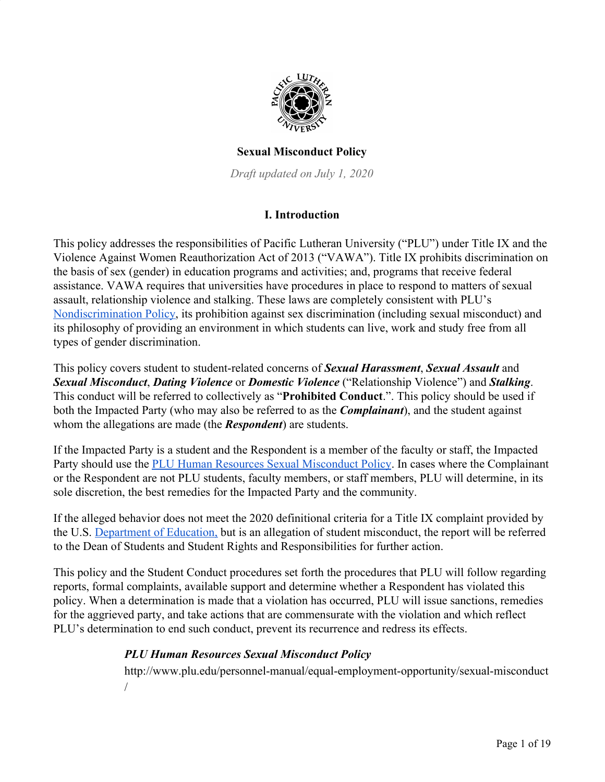

## **Sexual Misconduct Policy**

*Draft updated on July 1, 2020*

# **I. Introduction**

This policy addresses the responsibilities of Pacific Lutheran University ("PLU") under Title IX and the Violence Against Women Reauthorization Act of 2013 ("VAWA"). Title IX prohibits discrimination on the basis of sex (gender) in education programs and activities; and, programs that receive federal assistance. VAWA requires that universities have procedures in place to respond to matters of sexual assault, relationship violence and stalking. These laws are completely consistent with PLU's [Nondiscrimination Policy,](https://www.plu.edu/personnel-manual/general-human-resources-policies/non-discrimination-policy/) its prohibition against sex discrimination (including sexual misco[n](https://www.plu.edu/personnel-manual/general-human-resources-policies/non-discrimination-policy/)duct) and its philosophy of providing an environment in which students can live, work and study free from all types of gender discrimination.

This policy covers student to student-related concerns of *Sexual Harassment*, *Sexual Assault* and *Sexual Misconduct*, *Dating Violence* or *Domestic Violence* ("Relationship Violence") and *Stalking*. This conduct will be referred to collectively as "**Prohibited Conduct**.". This policy should be used if both the Impacted Party (who may also be referred to as the *Complainant*), and the student against whom the allegations are made (the *Respondent*) are students.

If the Impacted Party is a student and the Respondent is a member of the faculty or staff, the Impacted Party should use the [PLU Human Resources Sexual Misconduct Policy](https://www.plu.edu/personnel-manual/equal-employment-opportunity/sexual-misconduct/). In cases where the Complainant or the Respondent are not PLU students, faculty members, or staff members, PLU will determine, in its sole discretion, the best remedies for the Impacted Party and the community.

If the alleged behavior does not meet the 2020 definitional criteria for a Title IX complaint provided by the U.S. [Department of Education,](https://www.ed.gov/) but is an allegation of student misconduct, the report will be referred to the Dean of Students and Student Rights and Responsibilities for further action.

This policy and the Student Conduct procedures set forth the procedures that PLU will follow regarding reports, formal complaints, available support and determine whether a Respondent has violated this policy. When a determination is made that a violation has occurred, PLU will issue sanctions, remedies for the aggrieved party, and take actions that are commensurate with the violation and which reflect PLU's determination to end such conduct, prevent its recurrence and redress its effects.

### *PLU Human Resources Sexual Misconduct Policy*

[http://www.plu.edu/personnel-manual/equal-employment-opportunity/sexual-misconduct](http://www.plu.edu/personnel-manual/equal-employment-opportunity/sexual-misconduct/) [/](http://www.plu.edu/personnel-manual/equal-employment-opportunity/sexual-misconduct/)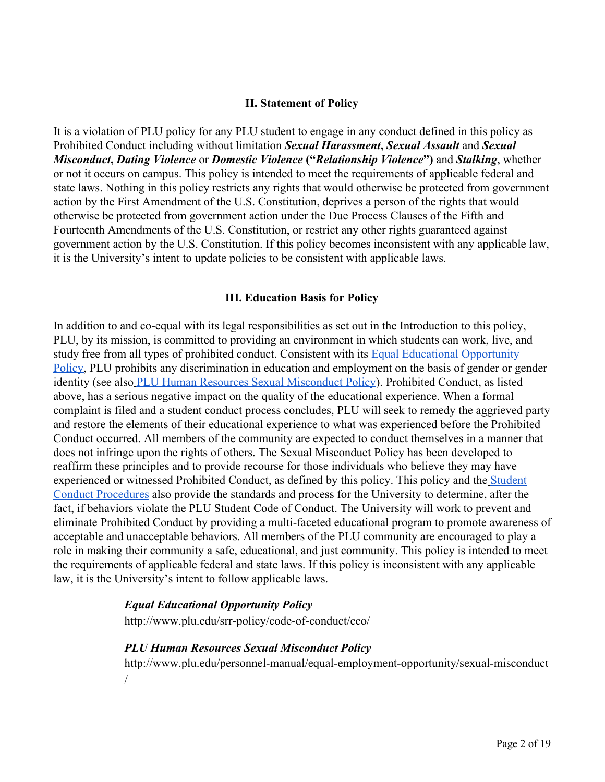#### **II. Statement of Policy**

It is a violation of PLU policy for any PLU student to engage in any conduct defined in this policy as Prohibited Conduct including without limitation *Sexual Harassment***,** *Sexual Assault* and *Sexual Misconduct***,** *Dating Violence* or *Domestic Violence* **("***Relationship Violence***")** and *Stalking*, whether or not it occurs on campus. This policy is intended to meet the requirements of applicable federal and state laws. Nothing in this policy restricts any rights that would otherwise be protected from government action by the First Amendment of the U.S. Constitution, deprives a person of the rights that would otherwise be protected from government action under the Due Process Clauses of the Fifth and Fourteenth Amendments of the U.S. Constitution, or restrict any other rights guaranteed against government action by the U.S. Constitution. If this policy becomes inconsistent with any applicable law, it is the University's intent to update policies to be consistent with applicable laws.

#### **III. Education Basis for Policy**

In addition to and co-equal with its legal responsibilities as set out in the Introduction to this policy, PLU, by its mission, is committed to providing an environment in which students can work, live, and study free from all types of prohibited conduct. Consistent with its [Equal Educational Opportunity](https://www.plu.edu/student-code-of-conduct/student-code-of-conduct-policies/equal-educational-opportunity/) [Policy,](https://www.plu.edu/student-code-of-conduct/student-code-of-conduct-policies/equal-educational-opportunity/) PLU prohibits any discrimination in education and employment on the basis of gender or gender identity (see als[o](https://www.plu.edu/personnel-manual/equal-employment-opportunity/sexual-misconduct/) [PLU Human Resources Sexual Misconduct Policy](https://www.plu.edu/personnel-manual/equal-employment-opportunity/sexual-misconduct/)). Prohibited Conduct, as listed above, has a serious negative impact on the quality of the educational experience. When a formal complaint is filed and a student conduct process concludes, PLU will seek to remedy the aggrieved party and restore the elements of their educational experience to what was experienced before the Prohibited Conduct occurred. All members of the community are expected to conduct themselves in a manner that does not infringe upon the rights of others. The Sexual Misconduct Policy has been developed to reaffirm these principles and to provide recourse for those individuals who believe they may have experienced or witnessed Prohibited Conduct, as defined by this policy. This policy and the [Student](https://www.plu.edu/student-code-of-conduct) [Conduct Procedures](https://www.plu.edu/student-code-of-conduct) also provide the standards and process for the University to determine, after the fact, if behaviors violate the PLU Student Code of Conduct. The University will work to prevent and eliminate Prohibited Conduct by providing a multi-faceted educational program to promote awareness of acceptable and unacceptable behaviors. All members of the PLU community are encouraged to play a role in making their community a safe, educational, and just community. This policy is intended to meet the requirements of applicable federal and state laws. If this policy is inconsistent with any applicable law, it is the University's intent to follow applicable laws.

#### *Equal Educational Opportunity Policy*

<http://www.plu.edu/srr-policy/code-of-conduct/eeo/>

### *PLU Human Resources Sexual Misconduct Policy*

[http://www.plu.edu/personnel-manual/equal-employment-opportunity/sexual-misconduct](http://www.plu.edu/personnel-manual/equal-employment-opportunity/sexual-misconduct/) [/](http://www.plu.edu/personnel-manual/equal-employment-opportunity/sexual-misconduct/)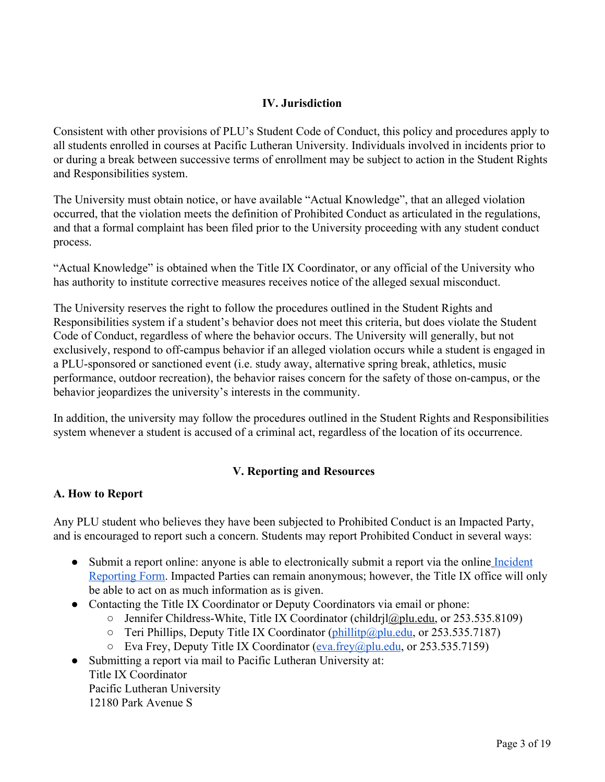## **IV. Jurisdiction**

Consistent with other provisions of PLU's Student Code of Conduct, this policy and procedures apply to all students enrolled in courses at Pacific Lutheran University. Individuals involved in incidents prior to or during a break between successive terms of enrollment may be subject to action in the Student Rights and Responsibilities system.

The University must obtain notice, or have available "Actual Knowledge", that an alleged violation occurred, that the violation meets the definition of Prohibited Conduct as articulated in the regulations, and that a formal complaint has been filed prior to the University proceeding with any student conduct process.

"Actual Knowledge" is obtained when the Title IX Coordinator, or any official of the University who has authority to institute corrective measures receives notice of the alleged sexual misconduct.

The University reserves the right to follow the procedures outlined in the Student Rights and Responsibilities system if a student's behavior does not meet this criteria, but does violate the Student Code of Conduct, regardless of where the behavior occurs. The University will generally, but not exclusively, respond to off-campus behavior if an alleged violation occurs while a student is engaged in a PLU-sponsored or sanctioned event (i.e. study away, alternative spring break, athletics, music performance, outdoor recreation), the behavior raises concern for the safety of those on-campus, or the behavior jeopardizes the university's interests in the community.

In addition, the university may follow the procedures outlined in the Student Rights and Responsibilities system whenever a student is accused of a criminal act, regardless of the location of its occurrence.

# **V. Reporting and Resources**

### **A. How to Report**

Any PLU student who believes they have been subjected to Prohibited Conduct is an Impacted Party, and is encouraged to report such a concern. Students may report Prohibited Conduct in several ways:

- Submit a report online: anyone is able to electronically submit a report via the online [Incident](https://publicdocs.maxient.com/reportingform.php?PacificLutheranUniv&layout_id=8) [Reporting Form.](https://publicdocs.maxient.com/reportingform.php?PacificLutheranUniv&layout_id=8) Impacted Parties can remain anonymous; however, the Title IX office will only be able to act on as much information as is given.
- Contacting the Title IX Coordinator or Deputy Coordinators via email or phone:
	- Jennifer Childress-White, Title IX Coordinator (childrj[l@plu.edu,](mailto:mnelson@plu.edu) or 253.535.8109)
	- $\circ$  Teri Phillips, Deputy Title IX Coordinator [\(phillitp@plu.edu,](mailto:phillitp@plu.edu) or 253.535.7187)
	- Eva Frey, Deputy Title IX Coordinator [\(eva.frey@plu.edu,](mailto:eva.frey@plu.edu) or 253.535.7159)
- Submitting a report via mail to Pacific Lutheran University at: Title IX Coordinator Pacific Lutheran University 12180 Park Avenue S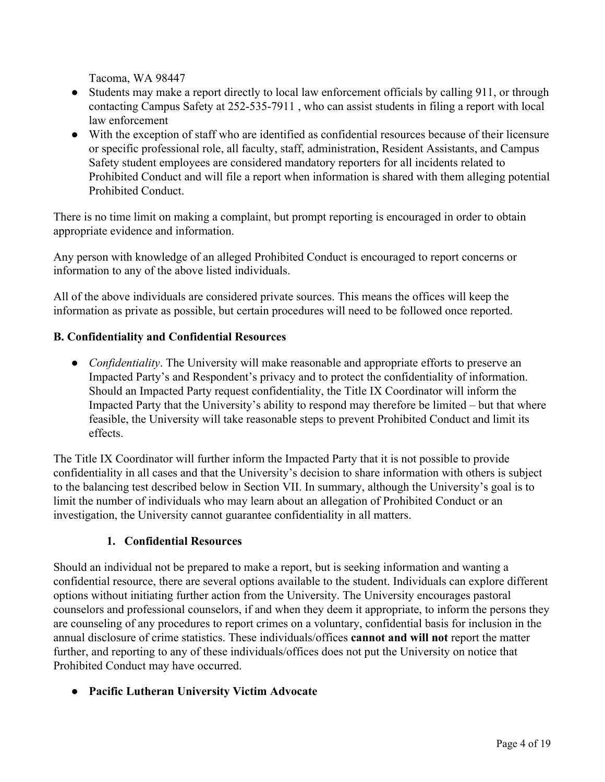Tacoma, WA 98447

- Students may make a report directly to local law enforcement officials by calling 911, or through contacting Campus Safety at 252-535-7911 , who can assist students in filing a report with local law enforcement
- With the exception of staff who are identified as confidential resources because of their licensure or specific professional role, all faculty, staff, administration, Resident Assistants, and Campus Safety student employees are considered mandatory reporters for all incidents related to Prohibited Conduct and will file a report when information is shared with them alleging potential Prohibited Conduct.

There is no time limit on making a complaint, but prompt reporting is encouraged in order to obtain appropriate evidence and information.

Any person with knowledge of an alleged Prohibited Conduct is encouraged to report concerns or information to any of the above listed individuals.

All of the above individuals are considered private sources. This means the offices will keep the information as private as possible, but certain procedures will need to be followed once reported.

# **B. Confidentiality and Confidential Resources**

• *Confidentiality*. The University will make reasonable and appropriate efforts to preserve an Impacted Party's and Respondent's privacy and to protect the confidentiality of information. Should an Impacted Party request confidentiality, the Title IX Coordinator will inform the Impacted Party that the University's ability to respond may therefore be limited – but that where feasible, the University will take reasonable steps to prevent Prohibited Conduct and limit its effects.

The Title IX Coordinator will further inform the Impacted Party that it is not possible to provide confidentiality in all cases and that the University's decision to share information with others is subject to the balancing test described below in Section VII. In summary, although the University's goal is to limit the number of individuals who may learn about an allegation of Prohibited Conduct or an investigation, the University cannot guarantee confidentiality in all matters.

# **1. Confidential Resources**

Should an individual not be prepared to make a report, but is seeking information and wanting a confidential resource, there are several options available to the student. Individuals can explore different options without initiating further action from the University. The University encourages pastoral counselors and professional counselors, if and when they deem it appropriate, to inform the persons they are counseling of any procedures to report crimes on a voluntary, confidential basis for inclusion in the annual disclosure of crime statistics. These individuals/offices **cannot and will not** report the matter further, and reporting to any of these individuals/offices does not put the University on notice that Prohibited Conduct may have occurred.

**● Pacific Lutheran University Victim Advocate**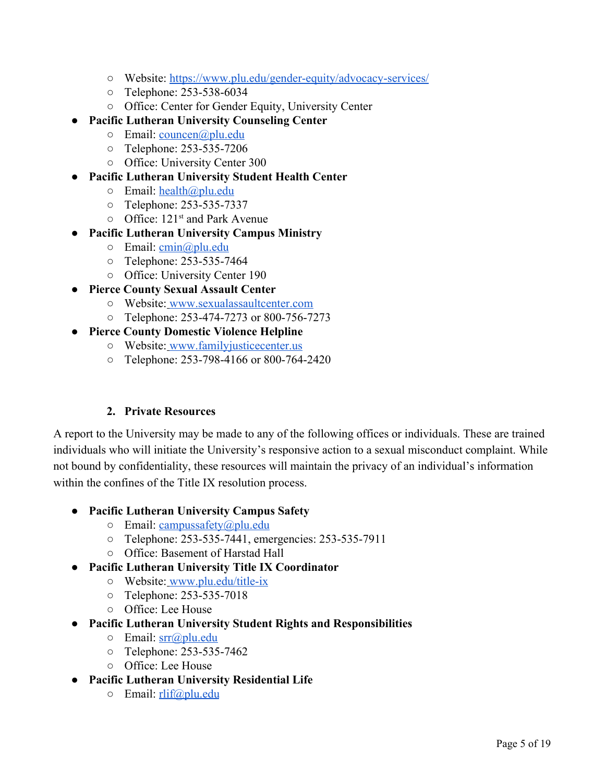- Website: <https://www.plu.edu/gender-equity/advocacy-services/>
- Telephone: 253-538-6034
- Office: Center for Gender Equity, University Center
- **Pacific Lutheran University Counseling Center**
	- o Email: [councen@plu.edu](mailto:councen@plu.edu)
	- Telephone: 253-535-7206
	- Office: University Center 300
- **Pacific Lutheran University Student Health Center**
	- $\circ$  Email: [health@plu.edu](mailto:health@plu.edu)
	- Telephone: 253-535-7337
	- Office: 121<sup>st</sup> and Park Avenue
- **Pacific Lutheran University Campus Ministry**
	- o Email: [cmin@plu.edu](mailto:cmin@plu.edu)
	- Telephone: 253-535-7464
	- Office: University Center 190
- **Pierce County Sexual Assault Center**
	- Website: [www.sexualassaultcenter.com](http://www.sexualassaultcenter.com/)
	- Telephone: 253-474-7273 or 800-756-7273
- **Pierce County Domestic Violence Helpline**
	- Website: [www.familyjusticecenter.us](http://www.familyjusticecenter.us/)
	- Telephone: 253-798-4166 or 800-764-2420

# **2. Private Resources**

A report to the University may be made to any of the following offices or individuals. These are trained individuals who will initiate the University's responsive action to a sexual misconduct complaint. While not bound by confidentiality, these resources will maintain the privacy of an individual's information within the confines of the Title IX resolution process.

# ● **Pacific Lutheran University Campus Safety**

- o Email: [campussafety@plu.edu](mailto:campussafety@plu.edu)
- Telephone: 253-535-7441, emergencies: 253-535-7911
- Office: Basement of Harstad Hall

# ● **Pacific Lutheran University Title IX Coordinator**

- Website: [www.plu.edu/title-ix](http://www.plu.edu/title-ix)
- Telephone: 253-535-7018
- Office: Lee House
- **Pacific Lutheran University Student Rights and Responsibilities**
	- Email: [srr@plu.edu](mailto:srr@plu.edu)
	- Telephone: 253-535-7462
	- Office: Lee House
- **Pacific Lutheran University Residential Life**
	- o Email: [rlif@plu.edu](mailto:rlif@plu.edu)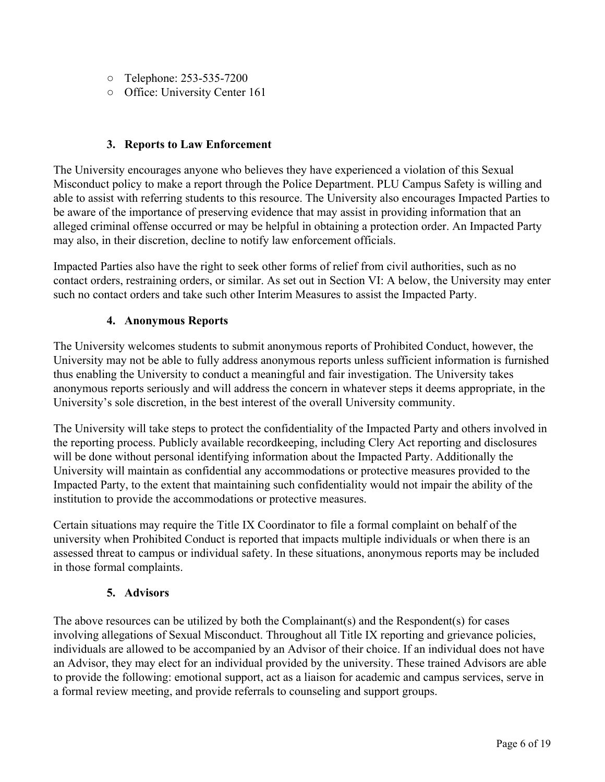- Telephone: 253-535-7200
- Office: University Center 161

### **3. Reports to Law Enforcement**

The University encourages anyone who believes they have experienced a violation of this Sexual Misconduct policy to make a report through the Police Department. PLU Campus Safety is willing and able to assist with referring students to this resource. The University also encourages Impacted Parties to be aware of the importance of preserving evidence that may assist in providing information that an alleged criminal offense occurred or may be helpful in obtaining a protection order. An Impacted Party may also, in their discretion, decline to notify law enforcement officials.

Impacted Parties also have the right to seek other forms of relief from civil authorities, such as no contact orders, restraining orders, or similar. As set out in Section VI: A below, the University may enter such no contact orders and take such other Interim Measures to assist the Impacted Party.

## **4. Anonymous Reports**

The University welcomes students to submit anonymous reports of Prohibited Conduct, however, the University may not be able to fully address anonymous reports unless sufficient information is furnished thus enabling the University to conduct a meaningful and fair investigation. The University takes anonymous reports seriously and will address the concern in whatever steps it deems appropriate, in the University's sole discretion, in the best interest of the overall University community.

The University will take steps to protect the confidentiality of the Impacted Party and others involved in the reporting process. Publicly available recordkeeping, including Clery Act reporting and disclosures will be done without personal identifying information about the Impacted Party. Additionally the University will maintain as confidential any accommodations or protective measures provided to the Impacted Party, to the extent that maintaining such confidentiality would not impair the ability of the institution to provide the accommodations or protective measures.

Certain situations may require the Title IX Coordinator to file a formal complaint on behalf of the university when Prohibited Conduct is reported that impacts multiple individuals or when there is an assessed threat to campus or individual safety. In these situations, anonymous reports may be included in those formal complaints.

### **5. Advisors**

The above resources can be utilized by both the Complainant(s) and the Respondent(s) for cases involving allegations of Sexual Misconduct. Throughout all Title IX reporting and grievance policies, individuals are allowed to be accompanied by an Advisor of their choice. If an individual does not have an Advisor, they may elect for an individual provided by the university. These trained Advisors are able to provide the following: emotional support, act as a liaison for academic and campus services, serve in a formal review meeting, and provide referrals to counseling and support groups.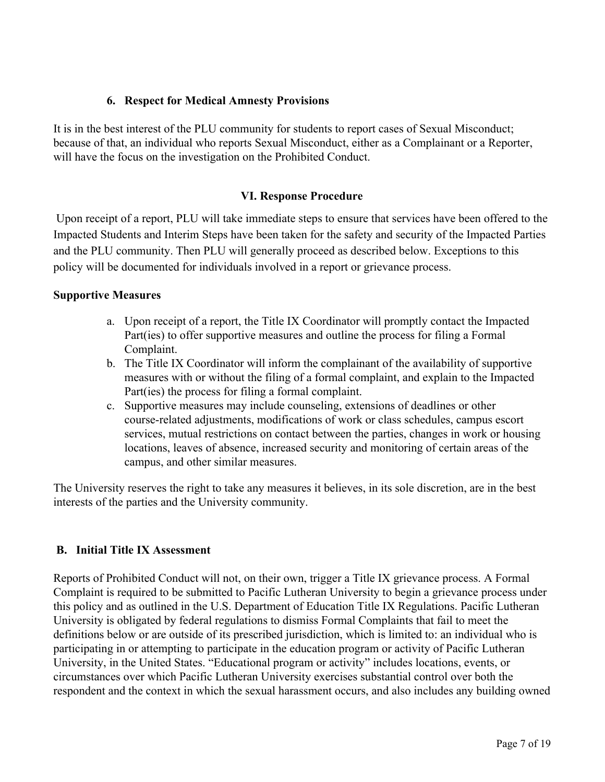### **6. Respect for Medical Amnesty Provisions**

It is in the best interest of the PLU community for students to report cases of Sexual Misconduct; because of that, an individual who reports Sexual Misconduct, either as a Complainant or a Reporter, will have the focus on the investigation on the Prohibited Conduct.

## **VI. Response Procedure**

 Upon receipt of a report, PLU will take immediate steps to ensure that services have been offered to the Impacted Students and Interim Steps have been taken for the safety and security of the Impacted Parties and the PLU community. Then PLU will generally proceed as described below. Exceptions to this policy will be documented for individuals involved in a report or grievance process.

### **Supportive Measures**

- a. Upon receipt of a report, the Title IX Coordinator will promptly contact the Impacted Part(ies) to offer supportive measures and outline the process for filing a Formal Complaint.
- b. The Title IX Coordinator will inform the complainant of the availability of supportive measures with or without the filing of a formal complaint, and explain to the Impacted Part(ies) the process for filing a formal complaint.
- c. Supportive measures may include counseling, extensions of deadlines or other course-related adjustments, modifications of work or class schedules, campus escort services, mutual restrictions on contact between the parties, changes in work or housing locations, leaves of absence, increased security and monitoring of certain areas of the campus, and other similar measures.

The University reserves the right to take any measures it believes, in its sole discretion, are in the best interests of the parties and the University community.

### **B. Initial Title IX Assessment**

Reports of Prohibited Conduct will not, on their own, trigger a Title IX grievance process. A Formal Complaint is required to be submitted to Pacific Lutheran University to begin a grievance process under this policy and as outlined in the U.S. Department of Education Title IX Regulations. Pacific Lutheran University is obligated by federal regulations to dismiss Formal Complaints that fail to meet the definitions below or are outside of its prescribed jurisdiction, which is limited to: an individual who is participating in or attempting to participate in the education program or activity of Pacific Lutheran University, in the United States. "Educational program or activity" includes locations, events, or circumstances over which Pacific Lutheran University exercises substantial control over both the respondent and the context in which the sexual harassment occurs, and also includes any building owned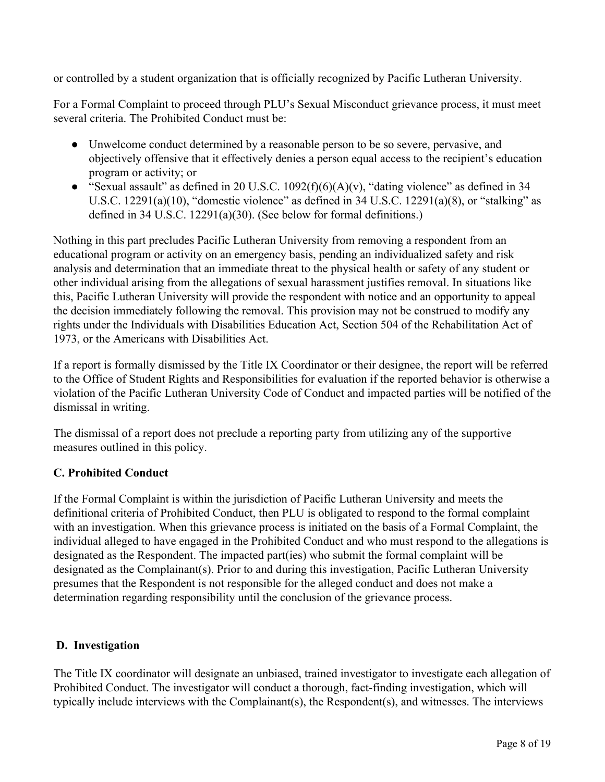or controlled by a student organization that is officially recognized by Pacific Lutheran University.

For a Formal Complaint to proceed through PLU's Sexual Misconduct grievance process, it must meet several criteria. The Prohibited Conduct must be:

- Unwelcome conduct determined by a reasonable person to be so severe, pervasive, and objectively offensive that it effectively denies a person equal access to the recipient's education program or activity; or
- "Sexual assault" as defined in 20 U.S.C.  $1092(f)(6)(A)(v)$ , "dating violence" as defined in 34 U.S.C.  $12291(a)(10)$ , "domestic violence" as defined in 34 U.S.C.  $12291(a)(8)$ , or "stalking" as defined in 34 U.S.C. 12291(a)(30). (See below for formal definitions.)

Nothing in this part precludes Pacific Lutheran University from removing a respondent from an educational program or activity on an emergency basis, pending an individualized safety and risk analysis and determination that an immediate threat to the physical health or safety of any student or other individual arising from the allegations of sexual harassment justifies removal. In situations like this, Pacific Lutheran University will provide the respondent with notice and an opportunity to appeal the decision immediately following the removal. This provision may not be construed to modify any rights under the Individuals with Disabilities Education Act, Section 504 of the Rehabilitation Act of 1973, or the Americans with Disabilities Act.

If a report is formally dismissed by the Title IX Coordinator or their designee, the report will be referred to the Office of Student Rights and Responsibilities for evaluation if the reported behavior is otherwise a violation of the Pacific Lutheran University Code of Conduct and impacted parties will be notified of the dismissal in writing.

The dismissal of a report does not preclude a reporting party from utilizing any of the supportive measures outlined in this policy.

# **C. Prohibited Conduct**

If the Formal Complaint is within the jurisdiction of Pacific Lutheran University and meets the definitional criteria of Prohibited Conduct, then PLU is obligated to respond to the formal complaint with an investigation. When this grievance process is initiated on the basis of a Formal Complaint, the individual alleged to have engaged in the Prohibited Conduct and who must respond to the allegations is designated as the Respondent. The impacted part(ies) who submit the formal complaint will be designated as the Complainant(s). Prior to and during this investigation, Pacific Lutheran University presumes that the Respondent is not responsible for the alleged conduct and does not make a determination regarding responsibility until the conclusion of the grievance process.

### **D. Investigation**

The Title IX coordinator will designate an unbiased, trained investigator to investigate each allegation of Prohibited Conduct. The investigator will conduct a thorough, fact-finding investigation, which will typically include interviews with the Complainant(s), the Respondent(s), and witnesses. The interviews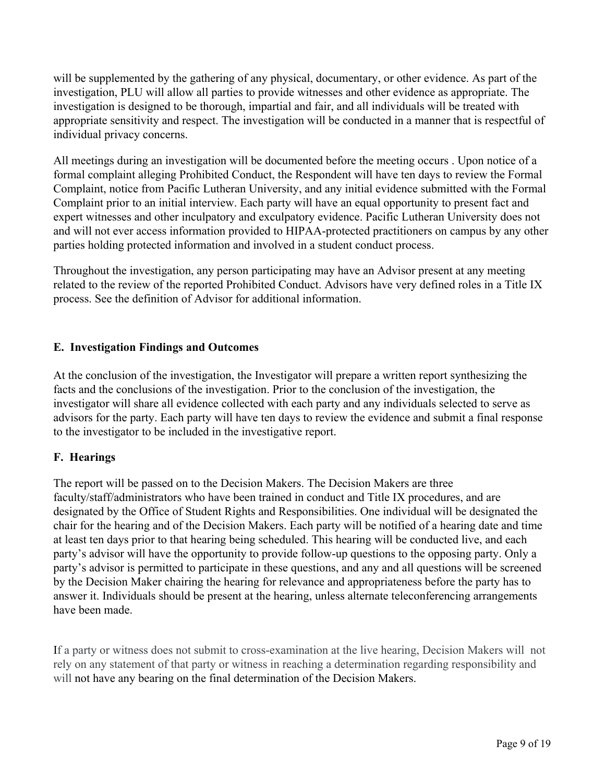will be supplemented by the gathering of any physical, documentary, or other evidence. As part of the investigation, PLU will allow all parties to provide witnesses and other evidence as appropriate. The investigation is designed to be thorough, impartial and fair, and all individuals will be treated with appropriate sensitivity and respect. The investigation will be conducted in a manner that is respectful of individual privacy concerns.

All meetings during an investigation will be documented before the meeting occurs . Upon notice of a formal complaint alleging Prohibited Conduct, the Respondent will have ten days to review the Formal Complaint, notice from Pacific Lutheran University, and any initial evidence submitted with the Formal Complaint prior to an initial interview. Each party will have an equal opportunity to present fact and expert witnesses and other inculpatory and exculpatory evidence. Pacific Lutheran University does not and will not ever access information provided to HIPAA-protected practitioners on campus by any other parties holding protected information and involved in a student conduct process.

Throughout the investigation, any person participating may have an Advisor present at any meeting related to the review of the reported Prohibited Conduct. Advisors have very defined roles in a Title IX process. See the definition of Advisor for additional information.

### **E. Investigation Findings and Outcomes**

At the conclusion of the investigation, the Investigator will prepare a written report synthesizing the facts and the conclusions of the investigation. Prior to the conclusion of the investigation, the investigator will share all evidence collected with each party and any individuals selected to serve as advisors for the party. Each party will have ten days to review the evidence and submit a final response to the investigator to be included in the investigative report.

### **F. Hearings**

The report will be passed on to the Decision Makers. The Decision Makers are three faculty/staff/administrators who have been trained in conduct and Title IX procedures, and are designated by the Office of Student Rights and Responsibilities. One individual will be designated the chair for the hearing and of the Decision Makers. Each party will be notified of a hearing date and time at least ten days prior to that hearing being scheduled. This hearing will be conducted live, and each party's advisor will have the opportunity to provide follow-up questions to the opposing party. Only a party's advisor is permitted to participate in these questions, and any and all questions will be screened by the Decision Maker chairing the hearing for relevance and appropriateness before the party has to answer it. Individuals should be present at the hearing, unless alternate teleconferencing arrangements have been made.

If a party or witness does not submit to cross-examination at the live hearing, Decision Makers will not rely on any statement of that party or witness in reaching a determination regarding responsibility and will not have any bearing on the final determination of the Decision Makers.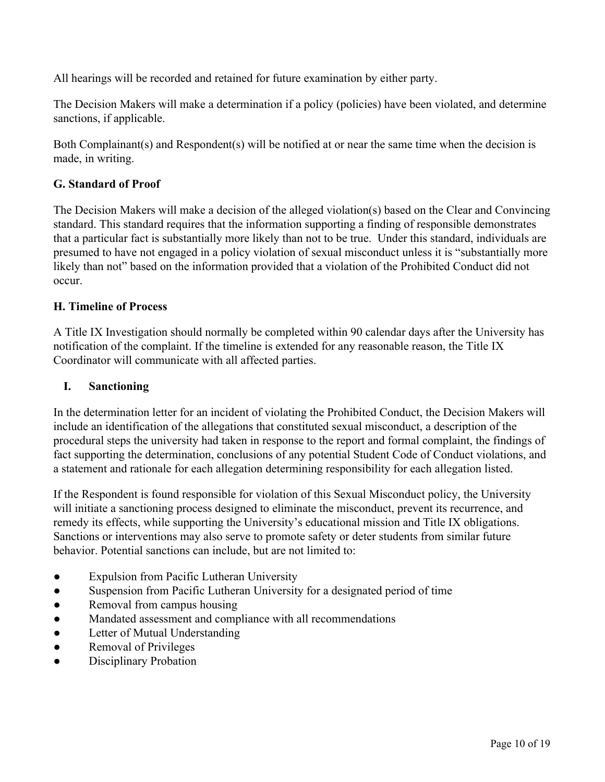All hearings will be recorded and retained for future examination by either party.

The Decision Makers will make a determination if a policy (policies) have been violated, and determine sanctions, if applicable.

Both Complainant(s) and Respondent(s) will be notified at or near the same time when the decision is made, in writing.

## **G. Standard of Proof**

The Decision Makers will make a decision of the alleged violation(s) based on the Clear and Convincing standard. This standard requires that the information supporting a finding of responsible demonstrates that a particular fact is substantially more likely than not to be true. Under this standard, individuals are presumed to have not engaged in a policy violation of sexual misconduct unless it is "substantially more likely than not" based on the information provided that a violation of the Prohibited Conduct did not occur.

### **H. Timeline of Process**

A Title IX Investigation should normally be completed within 90 calendar days after the University has notification of the complaint. If the timeline is extended for any reasonable reason, the Title IX Coordinator will communicate with all affected parties.

### **I. Sanctioning**

In the determination letter for an incident of violating the Prohibited Conduct, the Decision Makers will include an identification of the allegations that constituted sexual misconduct, a description of the procedural steps the university had taken in response to the report and formal complaint, the findings of fact supporting the determination, conclusions of any potential Student Code of Conduct violations, and a statement and rationale for each allegation determining responsibility for each allegation listed.

If the Respondent is found responsible for violation of this Sexual Misconduct policy, the University will initiate a sanctioning process designed to eliminate the misconduct, prevent its recurrence, and remedy its effects, while supporting the University's educational mission and Title IX obligations. Sanctions or interventions may also serve to promote safety or deter students from similar future behavior. Potential sanctions can include, but are not limited to:

- Expulsion from Pacific Lutheran University
- Suspension from Pacific Lutheran University for a designated period of time
- Removal from campus housing
- Mandated assessment and compliance with all recommendations
- Letter of Mutual Understanding
- Removal of Privileges
- Disciplinary Probation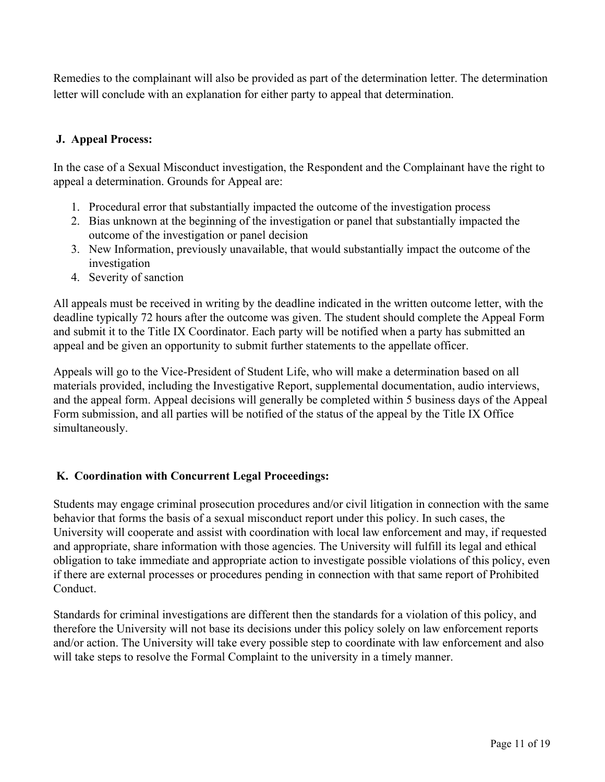Remedies to the complainant will also be provided as part of the determination letter. The determination letter will conclude with an explanation for either party to appeal that determination.

### **J. Appeal Process:**

In the case of a Sexual Misconduct investigation, the Respondent and the Complainant have the right to appeal a determination. Grounds for Appeal are:

- 1. Procedural error that substantially impacted the outcome of the investigation process
- 2. Bias unknown at the beginning of the investigation or panel that substantially impacted the outcome of the investigation or panel decision
- 3. New Information, previously unavailable, that would substantially impact the outcome of the investigation
- 4. Severity of sanction

All appeals must be received in writing by the deadline indicated in the written outcome letter, with the deadline typically 72 hours after the outcome was given. The student should complete the Appeal Form and submit it to the Title IX Coordinator. Each party will be notified when a party has submitted an appeal and be given an opportunity to submit further statements to the appellate officer.

Appeals will go to the Vice-President of Student Life, who will make a determination based on all materials provided, including the Investigative Report, supplemental documentation, audio interviews, and the appeal form. Appeal decisions will generally be completed within 5 business days of the Appeal Form submission, and all parties will be notified of the status of the appeal by the Title IX Office simultaneously.

# **K. Coordination with Concurrent Legal Proceedings:**

Students may engage criminal prosecution procedures and/or civil litigation in connection with the same behavior that forms the basis of a sexual misconduct report under this policy. In such cases, the University will cooperate and assist with coordination with local law enforcement and may, if requested and appropriate, share information with those agencies. The University will fulfill its legal and ethical obligation to take immediate and appropriate action to investigate possible violations of this policy, even if there are external processes or procedures pending in connection with that same report of Prohibited Conduct.

Standards for criminal investigations are different then the standards for a violation of this policy, and therefore the University will not base its decisions under this policy solely on law enforcement reports and/or action. The University will take every possible step to coordinate with law enforcement and also will take steps to resolve the Formal Complaint to the university in a timely manner.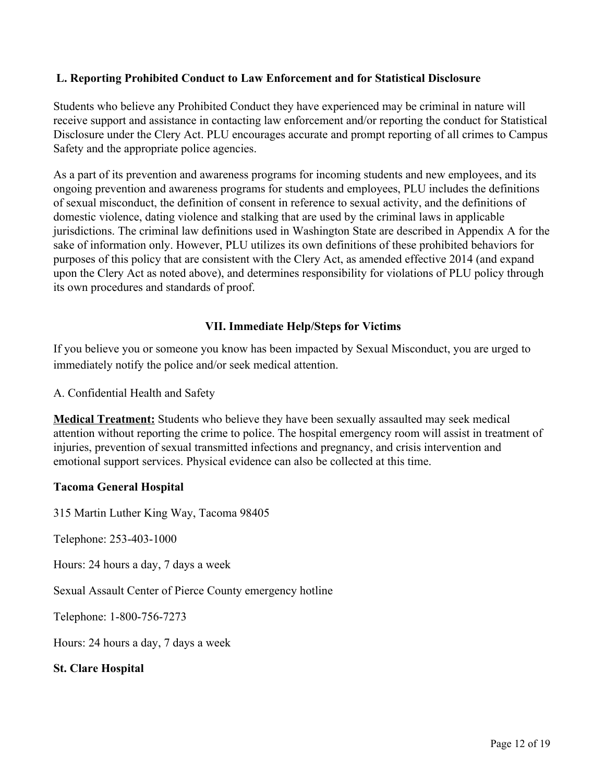### **L. Reporting Prohibited Conduct to Law Enforcement and for Statistical Disclosure**

Students who believe any Prohibited Conduct they have experienced may be criminal in nature will receive support and assistance in contacting law enforcement and/or reporting the conduct for Statistical Disclosure under the Clery Act. PLU encourages accurate and prompt reporting of all crimes to Campus Safety and the appropriate police agencies.

As a part of its prevention and awareness programs for incoming students and new employees, and its ongoing prevention and awareness programs for students and employees, PLU includes the definitions of sexual misconduct, the definition of consent in reference to sexual activity, and the definitions of domestic violence, dating violence and stalking that are used by the criminal laws in applicable jurisdictions. The criminal law definitions used in Washington State are described in Appendix A for the sake of information only. However, PLU utilizes its own definitions of these prohibited behaviors for purposes of this policy that are consistent with the Clery Act, as amended effective 2014 (and expand upon the Clery Act as noted above), and determines responsibility for violations of PLU policy through its own procedures and standards of proof.

## **VII. Immediate Help/Steps for Victims**

If you believe you or someone you know has been impacted by Sexual Misconduct, you are urged to immediately notify the police and/or seek medical attention.

A. Confidential Health and Safety

**Medical Treatment:** Students who believe they have been sexually assaulted may seek medical attention without reporting the crime to police. The hospital emergency room will assist in treatment of injuries, prevention of sexual transmitted infections and pregnancy, and crisis intervention and emotional support services. Physical evidence can also be collected at this time.

### **Tacoma General Hospital**

315 Martin Luther King Way, Tacoma 98405

Telephone: 253-403-1000

Hours: 24 hours a day, 7 days a week

Sexual Assault Center of Pierce County emergency hotline

Telephone: 1-800-756-7273

Hours: 24 hours a day, 7 days a week

#### **St. Clare Hospital**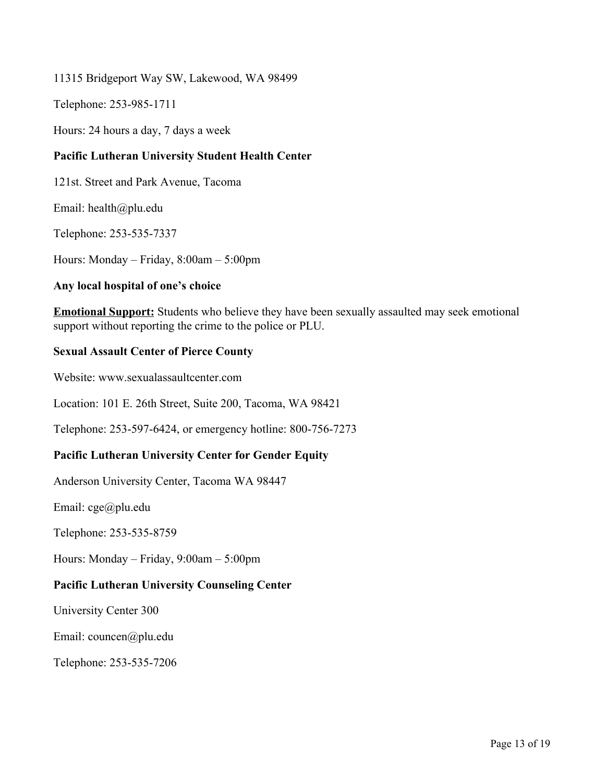#### 11315 Bridgeport Way SW, Lakewood, WA 98499

Telephone: 253-985-1711

Hours: 24 hours a day, 7 days a week

#### **Pacific Lutheran University Student Health Center**

121st. Street and Park Avenue, Tacoma

Email: health@plu.edu

Telephone: 253-535-7337

Hours: Monday – Friday, 8:00am – 5:00pm

#### **Any local hospital of one's choice**

**Emotional Support:** Students who believe they have been sexually assaulted may seek emotional support without reporting the crime to the police or PLU.

#### **Sexual Assault Center of Pierce County**

Website: www.sexualassaultcenter.com

Location: 101 E. 26th Street, Suite 200, Tacoma, WA 98421

Telephone: 253-597-6424, or emergency hotline: 800-756-7273

#### **Pacific Lutheran University Center for Gender Equity**

Anderson University Center, Tacoma WA 98447

Email: cge@plu.edu

Telephone: 253-535-8759

Hours: Monday – Friday, 9:00am – 5:00pm

#### **Pacific Lutheran University Counseling Center**

University Center 300

Email: councen@plu.edu

Telephone: 253-535-7206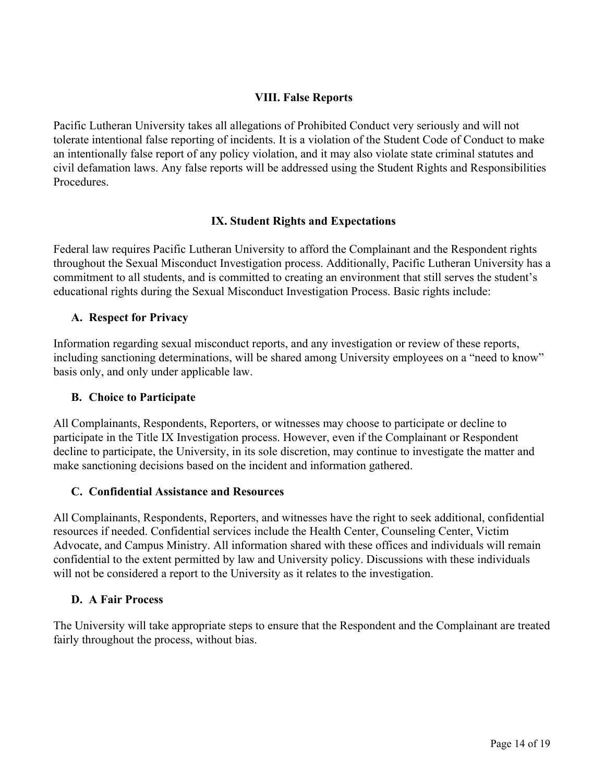### **VIII. False Reports**

Pacific Lutheran University takes all allegations of Prohibited Conduct very seriously and will not tolerate intentional false reporting of incidents. It is a violation of the Student Code of Conduct to make an intentionally false report of any policy violation, and it may also violate state criminal statutes and civil defamation laws. Any false reports will be addressed using the Student Rights and Responsibilities **Procedures** 

### **IX. Student Rights and Expectations**

Federal law requires Pacific Lutheran University to afford the Complainant and the Respondent rights throughout the Sexual Misconduct Investigation process. Additionally, Pacific Lutheran University has a commitment to all students, and is committed to creating an environment that still serves the student's educational rights during the Sexual Misconduct Investigation Process. Basic rights include:

### **A. Respect for Privacy**

Information regarding sexual misconduct reports, and any investigation or review of these reports, including sanctioning determinations, will be shared among University employees on a "need to know" basis only, and only under applicable law.

### **B. Choice to Participate**

All Complainants, Respondents, Reporters, or witnesses may choose to participate or decline to participate in the Title IX Investigation process. However, even if the Complainant or Respondent decline to participate, the University, in its sole discretion, may continue to investigate the matter and make sanctioning decisions based on the incident and information gathered.

### **C. Confidential Assistance and Resources**

All Complainants, Respondents, Reporters, and witnesses have the right to seek additional, confidential resources if needed. Confidential services include the Health Center, Counseling Center, Victim Advocate, and Campus Ministry. All information shared with these offices and individuals will remain confidential to the extent permitted by law and University policy. Discussions with these individuals will not be considered a report to the University as it relates to the investigation.

### **D. A Fair Process**

The University will take appropriate steps to ensure that the Respondent and the Complainant are treated fairly throughout the process, without bias.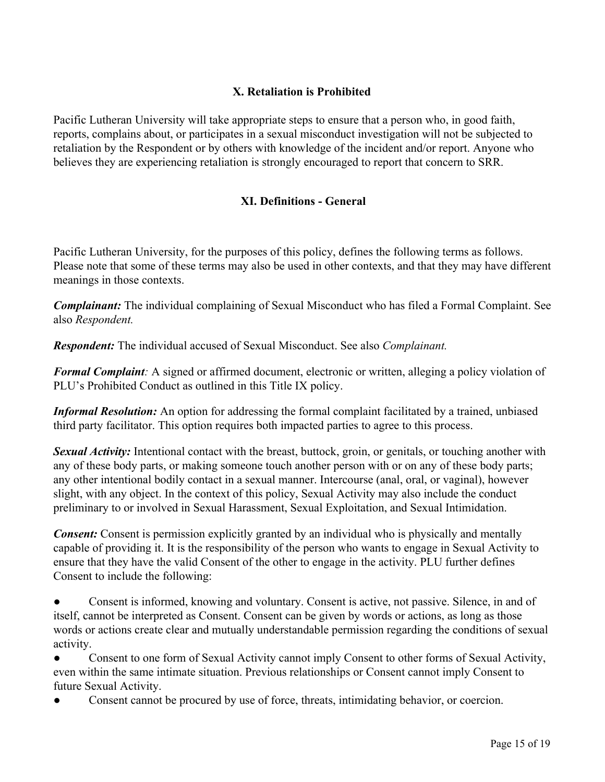## **X. Retaliation is Prohibited**

Pacific Lutheran University will take appropriate steps to ensure that a person who, in good faith, reports, complains about, or participates in a sexual misconduct investigation will not be subjected to retaliation by the Respondent or by others with knowledge of the incident and/or report. Anyone who believes they are experiencing retaliation is strongly encouraged to report that concern to SRR.

## **XI. Definitions - General**

Pacific Lutheran University, for the purposes of this policy, defines the following terms as follows. Please note that some of these terms may also be used in other contexts, and that they may have different meanings in those contexts.

*Complainant:* The individual complaining of Sexual Misconduct who has filed a Formal Complaint. See also *Respondent.*

*Respondent:* The individual accused of Sexual Misconduct. See also *Complainant.*

*Formal Complaint:* A signed or affirmed document, electronic or written, alleging a policy violation of PLU's Prohibited Conduct as outlined in this Title IX policy.

*Informal Resolution:* An option for addressing the formal complaint facilitated by a trained, unbiased third party facilitator. This option requires both impacted parties to agree to this process.

*Sexual Activity:* Intentional contact with the breast, buttock, groin, or genitals, or touching another with any of these body parts, or making someone touch another person with or on any of these body parts; any other intentional bodily contact in a sexual manner. Intercourse (anal, oral, or vaginal), however slight, with any object. In the context of this policy, Sexual Activity may also include the conduct preliminary to or involved in Sexual Harassment, Sexual Exploitation, and Sexual Intimidation.

*Consent:* Consent is permission explicitly granted by an individual who is physically and mentally capable of providing it. It is the responsibility of the person who wants to engage in Sexual Activity to ensure that they have the valid Consent of the other to engage in the activity. PLU further defines Consent to include the following:

Consent is informed, knowing and voluntary. Consent is active, not passive. Silence, in and of itself, cannot be interpreted as Consent. Consent can be given by words or actions, as long as those words or actions create clear and mutually understandable permission regarding the conditions of sexual activity.

Consent to one form of Sexual Activity cannot imply Consent to other forms of Sexual Activity, even within the same intimate situation. Previous relationships or Consent cannot imply Consent to future Sexual Activity.

Consent cannot be procured by use of force, threats, intimidating behavior, or coercion.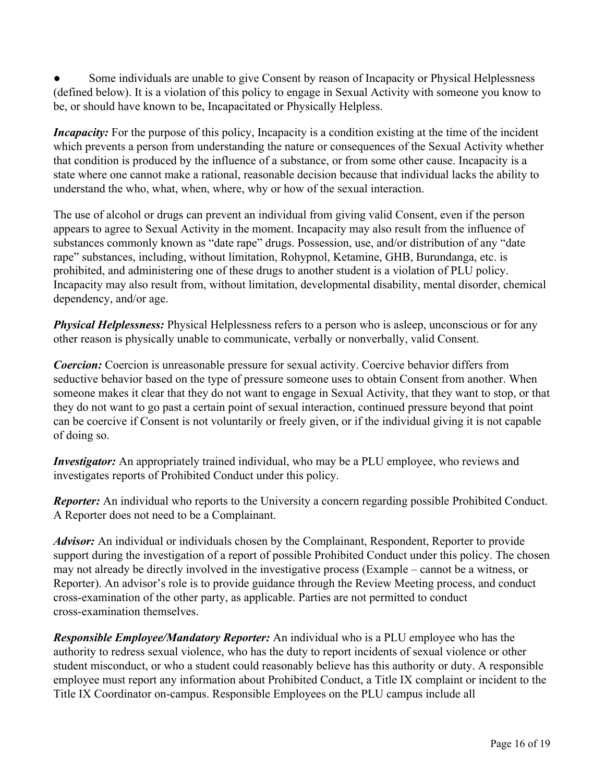Some individuals are unable to give Consent by reason of Incapacity or Physical Helplessness (defined below). It is a violation of this policy to engage in Sexual Activity with someone you know to be, or should have known to be, Incapacitated or Physically Helpless.

*Incapacity:* For the purpose of this policy, Incapacity is a condition existing at the time of the incident which prevents a person from understanding the nature or consequences of the Sexual Activity whether that condition is produced by the influence of a substance, or from some other cause. Incapacity is a state where one cannot make a rational, reasonable decision because that individual lacks the ability to understand the who, what, when, where, why or how of the sexual interaction.

The use of alcohol or drugs can prevent an individual from giving valid Consent, even if the person appears to agree to Sexual Activity in the moment. Incapacity may also result from the influence of substances commonly known as "date rape" drugs. Possession, use, and/or distribution of any "date rape" substances, including, without limitation, Rohypnol, Ketamine, GHB, Burundanga, etc. is prohibited, and administering one of these drugs to another student is a violation of PLU policy. Incapacity may also result from, without limitation, developmental disability, mental disorder, chemical dependency, and/or age.

*Physical Helplessness:* Physical Helplessness refers to a person who is asleep, unconscious or for any other reason is physically unable to communicate, verbally or nonverbally, valid Consent.

*Coercion:* Coercion is unreasonable pressure for sexual activity. Coercive behavior differs from seductive behavior based on the type of pressure someone uses to obtain Consent from another. When someone makes it clear that they do not want to engage in Sexual Activity, that they want to stop, or that they do not want to go past a certain point of sexual interaction, continued pressure beyond that point can be coercive if Consent is not voluntarily or freely given, or if the individual giving it is not capable of doing so.

*Investigator:* An appropriately trained individual, who may be a PLU employee, who reviews and investigates reports of Prohibited Conduct under this policy.

*Reporter:* An individual who reports to the University a concern regarding possible Prohibited Conduct. A Reporter does not need to be a Complainant.

*Advisor:* An individual or individuals chosen by the Complainant, Respondent, Reporter to provide support during the investigation of a report of possible Prohibited Conduct under this policy. The chosen may not already be directly involved in the investigative process (Example – cannot be a witness, or Reporter). An advisor's role is to provide guidance through the Review Meeting process, and conduct cross-examination of the other party, as applicable. Parties are not permitted to conduct cross-examination themselves.

*Responsible Employee/Mandatory Reporter:* An individual who is a PLU employee who has the authority to redress sexual violence, who has the duty to report incidents of sexual violence or other student misconduct, or who a student could reasonably believe has this authority or duty. A responsible employee must report any information about Prohibited Conduct, a Title IX complaint or incident to the Title IX Coordinator on-campus. Responsible Employees on the PLU campus include all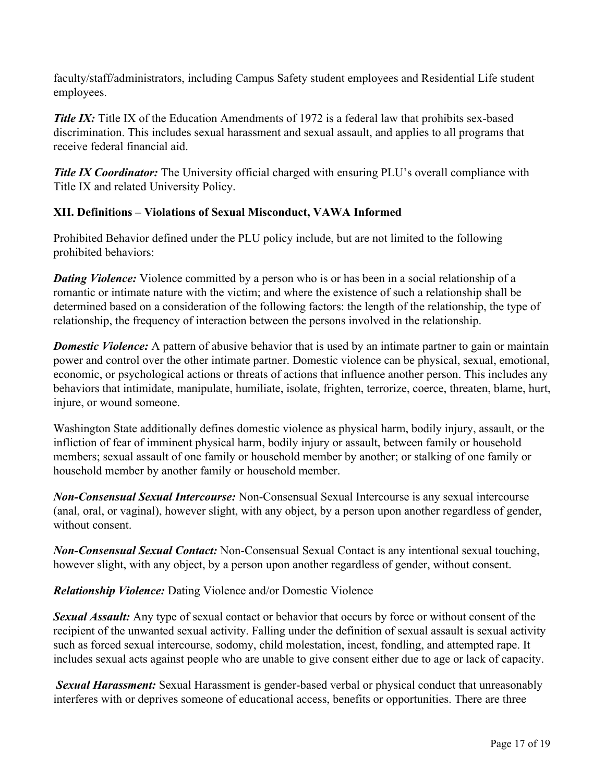faculty/staff/administrators, including Campus Safety student employees and Residential Life student employees.

**Title IX:** Title IX of the Education Amendments of 1972 is a federal law that prohibits sex-based discrimination. This includes sexual harassment and sexual assault, and applies to all programs that receive federal financial aid.

*Title IX Coordinator:* The University official charged with ensuring PLU's overall compliance with Title IX and related University Policy.

# **XII. Definitions – Violations of Sexual Misconduct, VAWA Informed**

Prohibited Behavior defined under the PLU policy include, but are not limited to the following prohibited behaviors:

*Dating Violence:* Violence committed by a person who is or has been in a social relationship of a romantic or intimate nature with the victim; and where the existence of such a relationship shall be determined based on a consideration of the following factors: the length of the relationship, the type of relationship, the frequency of interaction between the persons involved in the relationship.

*Domestic Violence:* A pattern of abusive behavior that is used by an intimate partner to gain or maintain power and control over the other intimate partner. Domestic violence can be physical, sexual, emotional, economic, or psychological actions or threats of actions that influence another person. This includes any behaviors that intimidate, manipulate, humiliate, isolate, frighten, terrorize, coerce, threaten, blame, hurt, injure, or wound someone.

Washington State additionally defines domestic violence as physical harm, bodily injury, assault, or the infliction of fear of imminent physical harm, bodily injury or assault, between family or household members; sexual assault of one family or household member by another; or stalking of one family or household member by another family or household member.

*Non-Consensual Sexual Intercourse:* Non-Consensual Sexual Intercourse is any sexual intercourse (anal, oral, or vaginal), however slight, with any object, by a person upon another regardless of gender, without consent.

*Non-Consensual Sexual Contact:* Non-Consensual Sexual Contact is any intentional sexual touching, however slight, with any object, by a person upon another regardless of gender, without consent.

*Relationship Violence:* Dating Violence and/or Domestic Violence

*Sexual Assault:* Any type of sexual contact or behavior that occurs by force or without consent of the recipient of the unwanted sexual activity. Falling under the definition of sexual assault is sexual activity such as forced sexual intercourse, sodomy, child molestation, incest, fondling, and attempted rape. It includes sexual acts against people who are unable to give consent either due to age or lack of capacity.

*Sexual Harassment:* Sexual Harassment is gender-based verbal or physical conduct that unreasonably interferes with or deprives someone of educational access, benefits or opportunities. There are three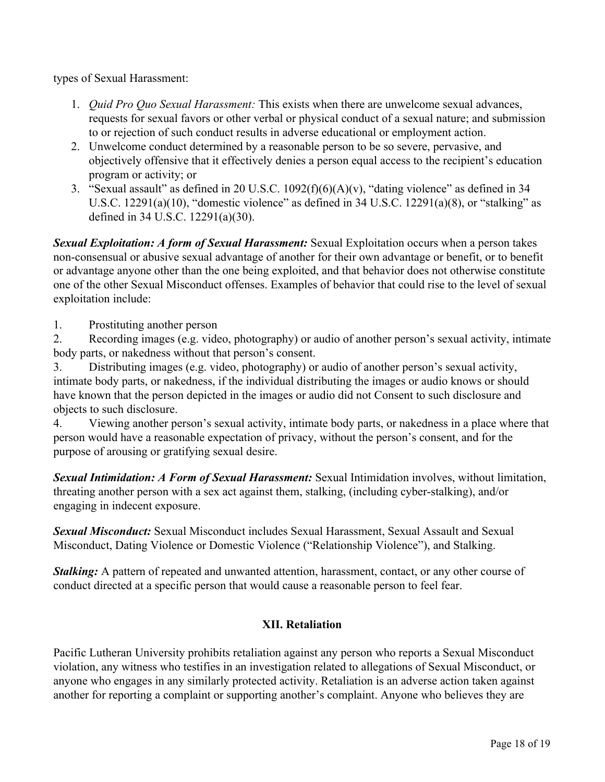types of Sexual Harassment:

- 1. *Quid Pro Quo Sexual Harassment:* This exists when there are unwelcome sexual advances, requests for sexual favors or other verbal or physical conduct of a sexual nature; and submission to or rejection of such conduct results in adverse educational or employment action.
- 2. Unwelcome conduct determined by a reasonable person to be so severe, pervasive, and objectively offensive that it effectively denies a person equal access to the recipient's education program or activity; or
- 3. "Sexual assault" as defined in 20 U.S.C. 1092(f)(6)(A)(v), "dating violence" as defined in 34 U.S.C.  $12291(a)(10)$ , "domestic violence" as defined in 34 U.S.C.  $12291(a)(8)$ , or "stalking" as defined in 34 U.S.C. 12291(a)(30).

*Sexual Exploitation: A form of Sexual Harassment:* Sexual Exploitation occurs when a person takes non-consensual or abusive sexual advantage of another for their own advantage or benefit, or to benefit or advantage anyone other than the one being exploited, and that behavior does not otherwise constitute one of the other Sexual Misconduct offenses. Examples of behavior that could rise to the level of sexual exploitation include:

1. Prostituting another person

2. Recording images (e.g. video, photography) or audio of another person's sexual activity, intimate body parts, or nakedness without that person's consent.

3. Distributing images (e.g. video, photography) or audio of another person's sexual activity, intimate body parts, or nakedness, if the individual distributing the images or audio knows or should have known that the person depicted in the images or audio did not Consent to such disclosure and objects to such disclosure.

4. Viewing another person's sexual activity, intimate body parts, or nakedness in a place where that person would have a reasonable expectation of privacy, without the person's consent, and for the purpose of arousing or gratifying sexual desire.

*Sexual Intimidation: A Form of Sexual Harassment:* Sexual Intimidation involves, without limitation, threating another person with a sex act against them, stalking, (including cyber-stalking), and/or engaging in indecent exposure.

*Sexual Misconduct:* Sexual Misconduct includes Sexual Harassment, Sexual Assault and Sexual Misconduct, Dating Violence or Domestic Violence ("Relationship Violence"), and Stalking.

*Stalking:* A pattern of repeated and unwanted attention, harassment, contact, or any other course of conduct directed at a specific person that would cause a reasonable person to feel fear.

### **XII. Retaliation**

Pacific Lutheran University prohibits retaliation against any person who reports a Sexual Misconduct violation, any witness who testifies in an investigation related to allegations of Sexual Misconduct, or anyone who engages in any similarly protected activity. Retaliation is an adverse action taken against another for reporting a complaint or supporting another's complaint. Anyone who believes they are